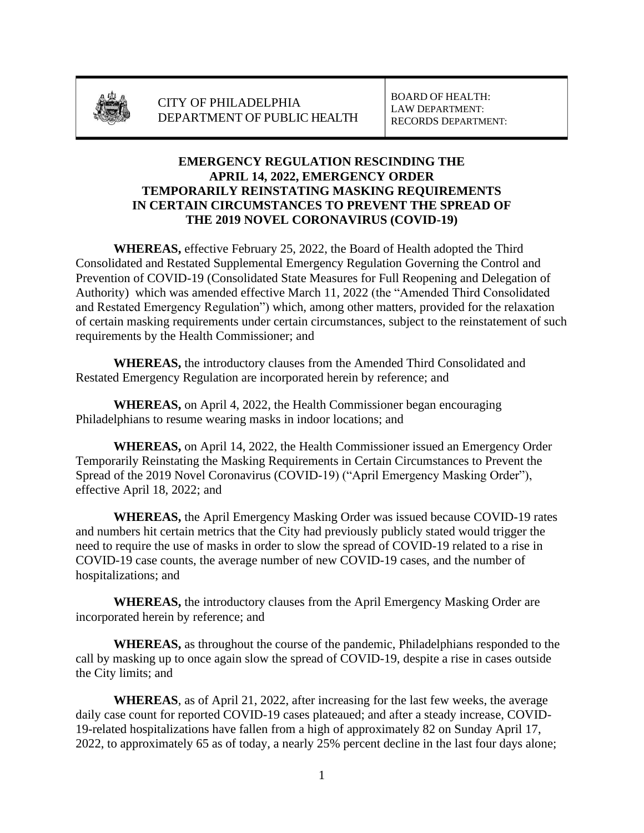

## **EMERGENCY REGULATION RESCINDING THE APRIL 14, 2022, EMERGENCY ORDER TEMPORARILY REINSTATING MASKING REQUIREMENTS IN CERTAIN CIRCUMSTANCES TO PREVENT THE SPREAD OF THE 2019 NOVEL CORONAVIRUS (COVID-19)**

**WHEREAS,** effective February 25, 2022, the Board of Health adopted the Third Consolidated and Restated Supplemental Emergency Regulation Governing the Control and Prevention of COVID-19 (Consolidated State Measures for Full Reopening and Delegation of Authority) which was amended effective March 11, 2022 (the "Amended Third Consolidated and Restated Emergency Regulation") which, among other matters, provided for the relaxation of certain masking requirements under certain circumstances, subject to the reinstatement of such requirements by the Health Commissioner; and

**WHEREAS,** the introductory clauses from the Amended Third Consolidated and Restated Emergency Regulation are incorporated herein by reference; and

**WHEREAS,** on April 4, 2022, the Health Commissioner began encouraging Philadelphians to resume wearing masks in indoor locations; and

**WHEREAS,** on April 14, 2022, the Health Commissioner issued an Emergency Order Temporarily Reinstating the Masking Requirements in Certain Circumstances to Prevent the Spread of the 2019 Novel Coronavirus (COVID-19) ("April Emergency Masking Order"), effective April 18, 2022; and

**WHEREAS,** the April Emergency Masking Order was issued because COVID-19 rates and numbers hit certain metrics that the City had previously publicly stated would trigger the need to require the use of masks in order to slow the spread of COVID-19 related to a rise in COVID-19 case counts, the average number of new COVID-19 cases, and the number of hospitalizations; and

**WHEREAS,** the introductory clauses from the April Emergency Masking Order are incorporated herein by reference; and

**WHEREAS,** as throughout the course of the pandemic, Philadelphians responded to the call by masking up to once again slow the spread of COVID-19, despite a rise in cases outside the City limits; and

**WHEREAS**, as of April 21, 2022, after increasing for the last few weeks, the average daily case count for reported COVID-19 cases plateaued; and after a steady increase, COVID-19-related hospitalizations have fallen from a high of approximately 82 on Sunday April 17, 2022, to approximately 65 as of today, a nearly 25% percent decline in the last four days alone;